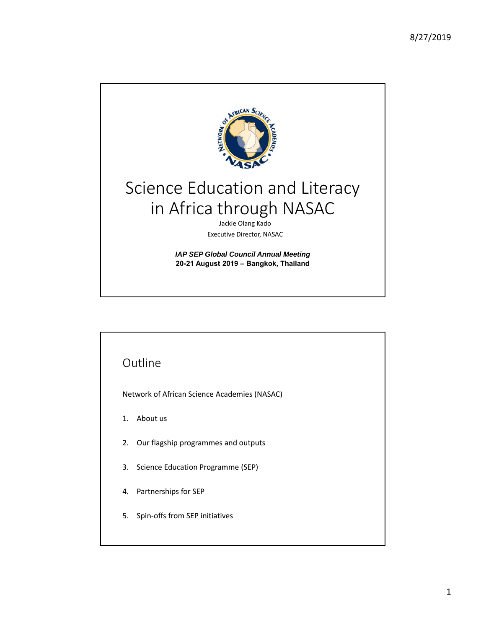

# Science Education and Literacy in Africa through NASAC

Jackie Olang Kado Executive Director, NASAC

*IAP SEP Global Council Annual Meeting*  **20-21 August 2019 – Bangkok, Thailand**



Network of African Science Academies (NASAC)

- 1. About us
- 2. Our flagship programmes and outputs
- 3. Science Education Programme (SEP)
- 4. Partnerships for SEP
- 5. Spin‐offs from SEP initiatives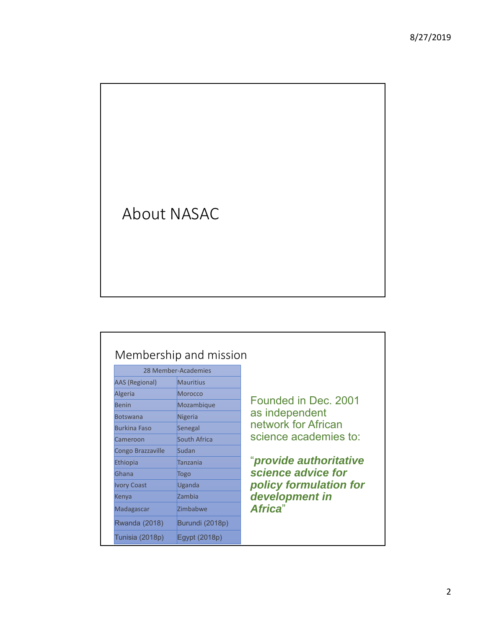## About NASAC

## Membership and mission

| 28 Member-Academies   |                  |
|-----------------------|------------------|
| <b>AAS</b> (Regional) | <b>Mauritius</b> |
| Algeria               | Morocco          |
| <b>Benin</b>          | Mozambique       |
| <b>Botswana</b>       | Nigeria          |
| Burkina Faso          | Senegal          |
| Cameroon              | South Africa     |
| Congo Brazzaville     | Sudan            |
| Ethiopia              | Tanzania         |
| Ghana                 | Togo             |
| <b>Ivory Coast</b>    | Uganda           |
| Kenya                 | Zambia           |
| Madagascar            | Zimbabwe         |
| Rwanda (2018)         | Burundi (2018p)  |
| Tunisia (2018p)       | Egypt (2018p)    |

Founded in Dec. 2001 as independent network for African science academies to:

"*provide authoritative science advice for policy formulation for development in Africa*"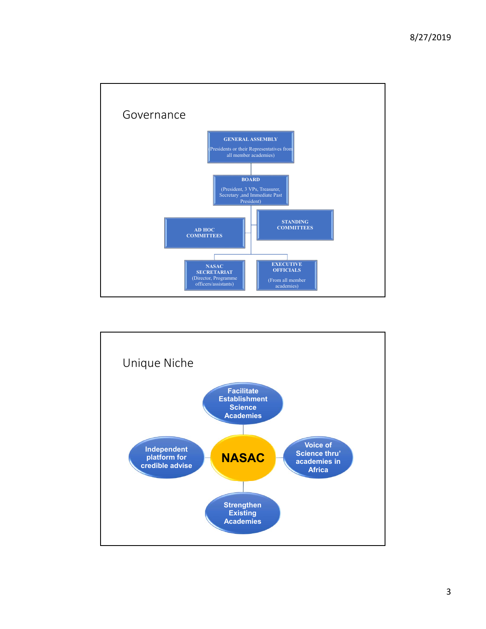

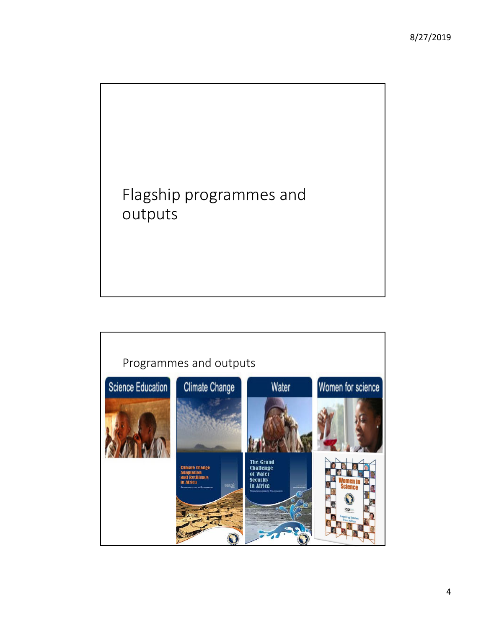

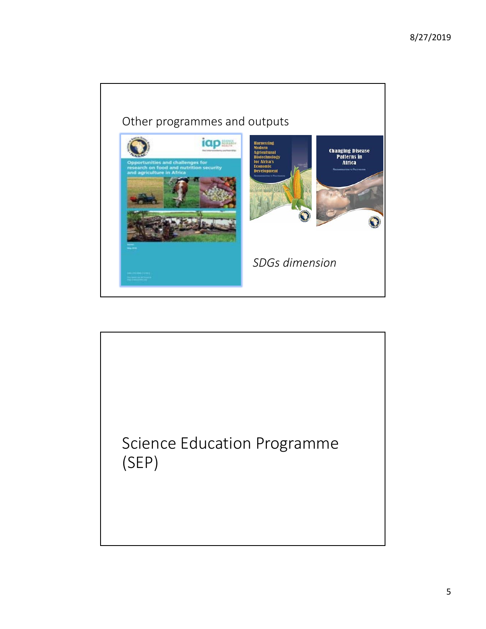

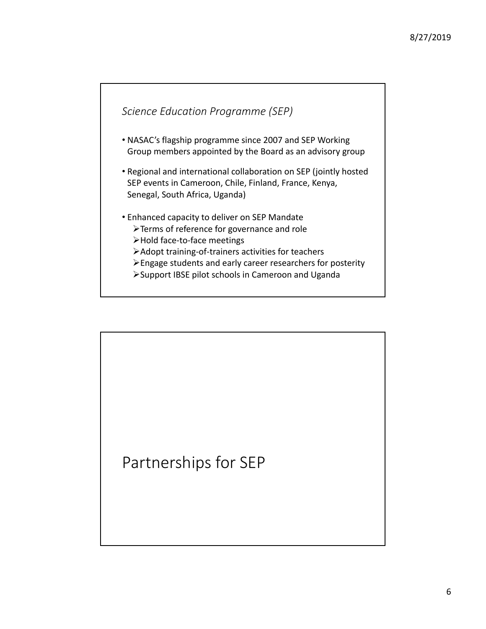

- Adopt training‐of‐trainers activities for teachers
- Engage students and early career researchers for posterity
- Support IBSE pilot schools in Cameroon and Uganda

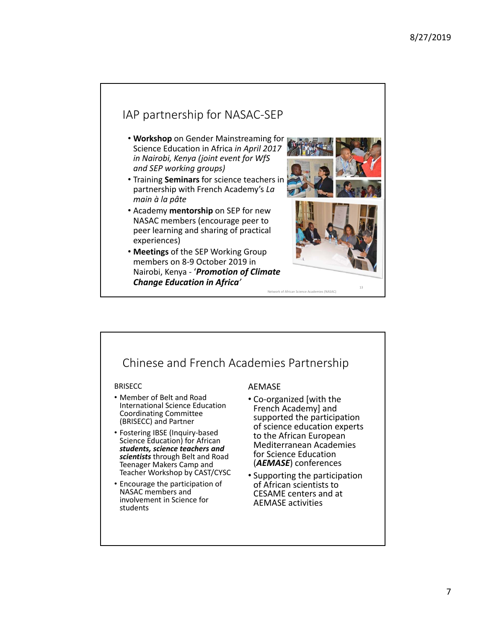### IAP partnership for NASAC‐SEP

- **Workshop** on Gender Mainstreaming for Science Education in Africa *in April 2017 in Nairobi, Kenya (joint event for WfS and SEP working groups)*
- Training **Seminars** for science teachers in partnership with French Academy's *La main à la pâte*
- Academy **mentorship** on SEP for new NASAC members (encourage peer to peer learning and sharing of practical experiences)
- **Meetings** of the SEP Working Group members on 8‐9 October 2019 in Nairobi, Kenya ‐ '*Promotion of Climate Change Education in Africa'*



13

rk of African Science Academies (NASAC)

#### Chinese and French Academies Partnership AEMASE • Co‐organized [with the French Academy] and supported the participation of science education experts to the African European Mediterranean Academies for Science Education (*AEMASE*) conferences • Supporting the participation of African scientists to CESAME centers and at AEMASE activities **BRISECC** • Member of Belt and Road International Science Education Coordinating Committee (BRISECC) and Partner • Fostering IBSE (Inquiry‐based Science Education) for African *students, science teachers and scientists* through Belt and Road Teenager Makers Camp and Teacher Workshop by CAST/CYSC • Encourage the participation of NASAC members and involvement in Science for students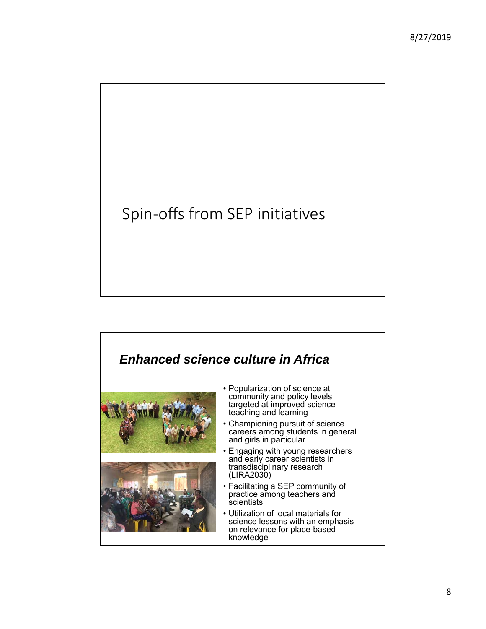# Spin‐offs from SEP initiatives